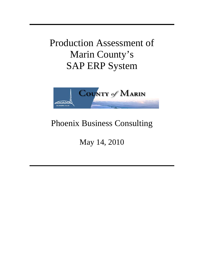Production Assessment of Marin County's SAP ERP System



# Phoenix Business Consulting

May 14, 2010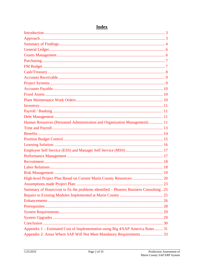| Human Resources (Personnel Administration and Organization Management)  11           |  |
|--------------------------------------------------------------------------------------|--|
|                                                                                      |  |
|                                                                                      |  |
|                                                                                      |  |
|                                                                                      |  |
|                                                                                      |  |
|                                                                                      |  |
|                                                                                      |  |
|                                                                                      |  |
|                                                                                      |  |
|                                                                                      |  |
|                                                                                      |  |
| Summary of Hours/cost to fix the problems identified – Phoenix Business Consulting25 |  |
|                                                                                      |  |
|                                                                                      |  |
|                                                                                      |  |
|                                                                                      |  |
|                                                                                      |  |
|                                                                                      |  |
| Appendix 1 – Estimated Cost of Implementation using Big 4/SAP America Rates  31      |  |
| Appendix 2: Areas Where SAP Will Not Meet Mandatory Requirements  33                 |  |

## **Index**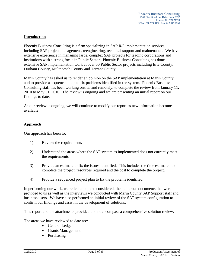## **Introduction**

Phoenix Business Consulting is a firm specializing in SAP R/3 implementation services, including SAP project management, reengineering, technical support and maintenance. We have extensive experience in managing large, complex SAP projects for leading corporations and institutions with a strong focus in Public Sector. Phoenix Business Consulting has done extensive SAP implementation work at over 50 Public Sector projects including Erie County, Durham County, Multnomah County and Tarrant County.

Marin County has asked us to render an opinion on the SAP implementation at Marin County and to provide a sequenced plan to fix problems identified in the system. Phoenix Business Consulting staff has been working onsite, and remotely, to complete the review from January 11, 2010 to May 31, 2010. The review is ongoing and we are presenting an initial report on our findings to date.

As our review is ongoing, we will continue to modify our report as new information becomes available.

## **Approach**

Our approach has been to:

- 1) Review the requirements
- 2) Understand the areas where the SAP system as implemented does not currently meet the requirements
- 3) Provide an estimate to fix the issues identified. This includes the time estimated to complete the project, resources required and the cost to complete the project.
- 4) Provide a sequenced project plan to fix the problems identified.

In performing our work, we relied upon, and considered, the numerous documents that were provided to us as well as the interviews we conducted with Marin County SAP Support staff and business users. We have also performed an initial review of the SAP system configuration to confirm our findings and assist in the development of solutions.

This report and the attachments provided do not encompass a comprehensive solution review.

The areas we have reviewed to date are:

- General Ledger
- Grants Management
- Purchasing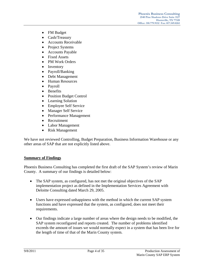- FM Budget
- Cash/Treasury
- Accounts Receivable
- Project Systems
- Accounts Payable
- Fixed Assets
- PM Work Orders
- Inventory
- Payroll/Banking
- Debt Management
- Human Resources
- Payroll
- Benefits
- Position Budget Control
- Learning Solution
- Employee Self Service
- Manager Self Service
- Performance Management
- Recruitment
- Labor Management
- Risk Management

We have not reviewed Controlling, Budget Preparation, Business Information Warehouse or any other areas of SAP that are not explicitly listed above.

#### **Summary of Findings**

Phoenix Business Consulting has completed the first draft of the SAP System's review of Marin County. A summary of our findings is detailed below:

- The SAP system, as configured, has not met the original objectives of the SAP implementation project as defined in the Implementation Services Agreement with Deloitte Consulting dated March 29, 2005.
- Users have expressed unhappiness with the method in which the current SAP system functions and have expressed that the system, as configured, does not meet their requirements.
- Our findings indicate a large number of areas where the design needs to be modified, the SAP system reconfigured and reports created. The number of problems identified exceeds the amount of issues we would normally expect in a system that has been live for the length of time of that of the Marin County system.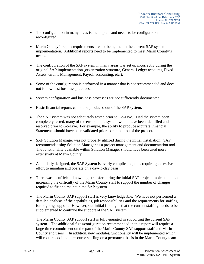- The configuration in many areas is incomplete and needs to be configured or reconfigured.
- Marin County's report requirements are not being met in the current SAP system implementation. Additional reports need to be implemented to meet Marin County's needs.
- The configuration of the SAP system in many areas was set up incorrectly during the original SAP implementation (organization structure, General Ledger accounts, Fixed Assets, Grants Management, Payroll accounting, etc.).
- Some of the configuration is performed in a manner that is not recommended and does not follow best business practices.
- System configuration and business processes are not sufficiently documented.
- Basic financial reports cannot be produced out of the SAP system.
- The SAP system was not adequately tested prior to Go-Live. Had the system been completely tested, many of the errors in the system would have been identified and resolved prior to Go-Live. For example, the ability to produce accurate Financial Statements should have been validated prior to completion of the project.
- SAP Solution Manager was not properly utilized during the initial installation. SAP recommends using Solution Manager as a project management and documentation tool. The functionality available within Solution Manager should have been used more extensively at Marin County.
- As initially designed, the SAP System is overly complicated, thus requiring excessive effort to maintain and operate on a day-to-day basis.
- There was insufficient knowledge transfer during the initial SAP project implementation increasing the difficulty of the Marin County staff to support the number of changes required to fix and maintain the SAP system.
- The Marin County SAP support staff is very knowledgeable. We have not performed a detailed analysis of the capabilities, job responsibilities and the requirements for staffing for ongoing support. However, our initial finding is that the current staffing needs to be supplemented to continue the support of the SAP system.

The Marin County SAP support staff is fully engaged in supporting the current SAP system. The additional fixes/configuration recommended in this report will require a large time commitment on the part of the Marin County SAP support staff and Marin County end users. In addition, new modules/functionality will be implemented which will require additional resource staffing on a permanent basis in the Marin County team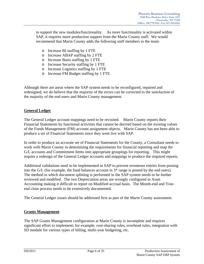to support the new modules/functionality. As more functionality is activated within SAP, it requires more production support from the Marin County staff. We would recommend that Marin County adds the following staff members to the team:

- o Increase BI staffing by 1 FTE
- o Increase ABAP staffing by 2 FTE
- o Increase Basis staffing by 1 FTE
- o Increase Security staffing by 1 FTE
- o Increase Logistics staffing by 1 FTE
- o Increase FM Budget staffing by 1 FTE

Although there are areas where the SAP system needs to be reconfigured, repaired and redesigned, we do believe that the majority of the errors can be corrected to the satisfaction of the majority of the end users and Marin County management.

## **General Ledger**

The General Ledger account mappings need to be revisited. Marin County reports their Financial Statements by functional activities that cannot be derived based on the existing values of the Funds Management (FM) account assignment objects. Marin County has not been able to produce a set of Financial Statements since they went live with SAP.

In order to produce an accurate set of Financial Statements for the County, a Consultant needs to work with Marin County in determining the requirements for financial reporting and map the G/L accounts and Commitment Items into appropriate groupings for reporting. This might require a redesign of the General Ledger accounts and mappings to produce the required reports.

Additional validations need to be implemented in SAP to prevent erroneous entries from posting into the G/L (for example, the fund balances account in 3\* range is posted by the end users). The method in which document splitting is performed in the SAP system needs to be further reviewed and modified. The two Depreciation areas are wrongly configured in Asset Accounting making it difficult to report on Modified accrual basis. The Month-end and Yearend close process needs to be extensively documented.

The General Ledger issues should be addressed first as part of the Marin County assessment.

## **Grants Management**

The SAP Grants Management configuration at Marin County is incomplete and requires significant effort to implement; for example, cost-sharing rules, overhead rules, integration with SD module for various types of billing, multi-year budgeting, etc.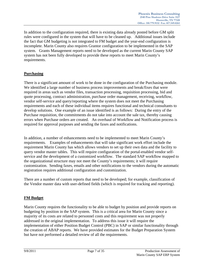In addition to the configuration required, there is existing data already posted before GM split rules were configured in the system that will have to be cleaned up. Additional issues include the fact that GM budgeting is not integrated to FM budget and the year-end configuration is incomplete. Marin County also requires Grantor configuration to be implemented in the SAP system. Grants Management reports need to be developed as the current Marin County SAP system has not been fully developed to provide these reports to meet Marin County's requirements.

## **Purchasing**

There is a significant amount of work to be done in the configuration of the Purchasing module. We identified a large number of business process improvements and break/fixes that were required in areas such as vendor files, transaction processing, requisition processing, bid and quote processing, contract administration, purchase order management, receiving, workflow, vendor self-service and query/reporting where the system does not meet the Purchasing requirements and each of these individual items requires functional and technical consultants to develop solutions. One example of an issue identified is as follows: During the entry of the Purchase requisition, the commitments do not take into account the sale tax, thereby causing errors when Purchase orders are created. An overhaul of Workflow and Notification process is required for approval purposes and sending the faxes and notifications.

In addition, a number of enhancements need to be implemented to meet Marin County's requirements. Examples of enhancements that will take significant work effort include the requirement Marin County has which allows vendors to set up their own data and the facility to query vendor master tables. This will require configuration of the portal-enabled vendor selfservice and the development of a customized workflow. The standard SAP workflow mapped to the organizational structure may not meet the County's requirements; it will require customization. Sending faxes, emails and other notifications to the vendors during the automatic registration requires additional configuration and customization.

There are a number of custom reports that need to be developed; for example, classification of the Vendor master data with user-defined fields (which is required for tracking and reporting).

## **FM Budget**

Marin County requires the functionality to be able to budget by position and provide reports on budgeting by position in the SAP system. This is a critical area for Marin County since a majority of its costs are related to personnel costs and this requirement was not properly addressed in the original implementation. To address this issue it will require the implementation of either Position Budget Control (PBC) in SAP or similar functionality through the creation of ABAP reports. We have provided estimates for the Budget Preparation System but have not performed a detailed review of all the requirements.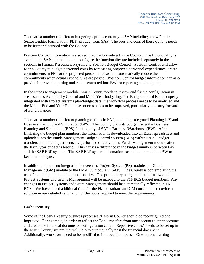There are a number of different budgeting options currently in SAP including a new Public Sector Budget Formulation (PBF) product from SAP. The pros and cons of these options needs to be further discussed with the County.

Position Control information is also required for budgeting by the County. The functionality is available in SAP and the hours to configure the functionality are included separately in the sections in Human Resources, Payroll and Position Budget Control. Position Control will allow Marin County to budget personnel costs by forecasting projected personnel expenditures, create commitments in FM for the projected personnel costs, and automatically reduce the commitments when actual expenditures are posted. Position Control budget information can also provide improved reporting and can be extracted into BW for reporting and budgeting.

In the Funds Management module, Marin County needs to review and fix the configuration in areas such as Availability Control and Multi-Year budgeting. The Budget control is not properly integrated with Project systems plan/budget data, the workflow process needs to be modified and the Month-End and Year-End close process needs to be improved, particularly the carry forward of Fund balances.

There are a number of different planning options in SAP, including Integrated Planning (IP) and Business Planning and Simulation (BPS). The County plans its budget using the Business Planning and Simulation (BPS) functionality of SAP's Business Warehouse (BW). After finalizing the budget plan numbers, the information is downloaded into an Excel spreadsheet and uploaded into the Funds Management Budget Control System (BCS) within SAP. Budget transfers and other adjustments are performed directly in the Funds Management module after the fiscal year budget is loaded. This causes a difference in the budget numbers between BW and the SAP ERP system. The SAP ERP system information has to be retracted into BW to keep them in sync.

In addition, there is no integration between the Project System (PS) module and Grants Management (GM) module to the FM-BCS module in SAP. The County is contemplating the use of the integrated planning functionality. The preliminary budget numbers finalized in Project Systems and Grants Management will be mapped to the FM-BCS budget numbers. Any changes in Project Systems and Grant Management should be automatically reflected in FM-BCS. We have added additional time for the FM consultant and GM consultant to provide a solution in our detailed calculation of the hours required to meet the requirements.

## **Cash/Treasury**

Some of the Cash/Treasury business processes at Marin County should be reconfigured and improved. For example, in order to reflect the Bank transfers from one account to other accounts and create the financial documents, configuration called "Repetitive codes" needs to be set up in the Marin County system that will help to automatically post the financial document. Additionally, workflows need to be modified to improve the process. One-on-one training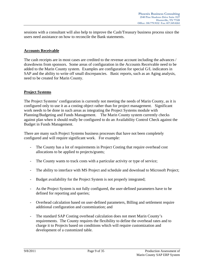sessions with a consultant will also help to improve the Cash/Treasury business process since the users need assistance on how to reconcile the Bank statements.

## **Accounts Receivable**

The cash receipts are in most cases are credited to the revenue account including the advances / drawdowns from sponsors. Some areas of configuration in the Accounts Receivable need to be added to the Marin County system. Examples are configuration for special G/L indicators in SAP and the ability to write off small discrepancies. Basic reports, such as an Aging analysis, need to be created for Marin County.

## **Project Systems**

The Project Systems' configuration is currently not meeting the needs of Marin County, as it is configured only to use it as a costing object rather than for project management. Significant work needs to be done in such areas as integrating the Project Systems module with Planning/Budgeting and Funds Management. The Marin County system currently checks against plan when it should really be configured to do an Availability Control Check against the Budget in Funds Management.

There are many such Project Systems business processes that have not been completely configured and will require significant work. For example:

- The County has a lot of requirements in Project Costing that require overhead cost allocations to be applied to projects/grants;
- The County wants to track costs with a particular activity or type of service;
- The ability to interface with MS Project and schedule and download to Microsoft Project;
- Budget availability for the Project System is not properly integrated;
- As the Project System is not fully configured, the user-defined parameters have to be defined for reporting and queries;
- Overhead calculation based on user-defined parameters, Billing and settlement require additional configuration and customization; and
- The standard SAP Costing overhead calculation does not meet Marin County's requirements. The County requires the flexibility to define the overhead rates and to charge it to Projects based on conditions which will require customization and development of a customized table.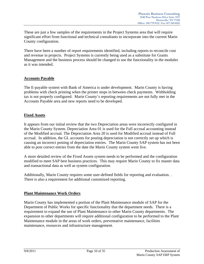These are just a few samples of the requirements in the Project Systems area that will require significant effort from functional and technical consultants to incorporate into the current Marin County configuration.

There have been a number of report requirements identified, including reports to reconcile cost and revenue in projects. Project Systems is currently being used as a substitute for Grants Management and the business process should be changed to use the functionality in the modules as it was intended.

## **Accounts Payable**

The E-payable system with Bank of America is under development. Marin County is having problems with check printing when the printer stops in between check payments. Withholding tax is not properly configured. Marin County's reporting requirements are not fully met in the Accounts Payable area and new reports need to be developed.

## **Fixed Assets**

It appears from our initial review that the two Depreciation areas were incorrectly configured in the Marin County System. Depreciation Area 01 is used for the Full accrual accounting instead of the Modified accrual. The Depreciation Area 20 is used for Modified accrual instead of Full accrual. In addition, the GL accounts for posting depreciation is not correctly set up which is causing an incorrect posting of depreciation entries. The Marin County SAP system has not been able to post correct entries from the date the Marin County system went live.

A more detailed review of the Fixed Assets system needs to be performed and the configuration modified to meet SAP best business practices. This may require Marin County to fix master data and transactional data as well as system configuration.

Additionally, Marin County requires some user-defined fields for reporting and evaluation. . There is also a requirement for additional customized reporting.

## **Plant Maintenance Work Orders**

Marin County has implemented a portion of the Plant Maintenance module of SAP for the Department of Public Works for specific functionality that the department needs. There is a requirement to expand the use of Plant Maintenance to other Marin County departments. The expansion to other departments will require additional configuration to be performed to the Plant Maintenance module in the areas of work orders, preventative maintenance, facilities maintenance, resources and infrastructure management.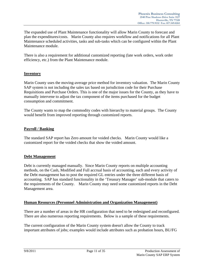The expanded use of Plant Maintenance functionality will allow Marin County to forecast and plan the expenditures/costs. Marin County also requires workflow and notifications for all Plant Maintenance scheduled activities, tasks and sub-tasks which can be configured within the Plant Maintenance module.

There is also a requirement for additional customized reporting (late work orders, work order efficiency, etc.) from the Plant Maintenance module.

## **Inventory**

Marin County uses the moving-average price method for inventory valuation. The Marin County SAP system is not including the sales tax based on jurisdiction code for their Purchase Requisitions and Purchase Orders. This is one of the major issues for the County, as they have to manually intervene to adjust the tax component of the items purchased for the budget consumption and commitment.

The County wants to map the commodity codes with hierarchy to material groups. The County would benefit from improved reporting through customized reports.

## **Payroll / Banking**

The standard SAP report has Zero amount for voided checks. Marin County would like a customized report for the voided checks that show the voided amount.

#### **Debt Management**

Debt is currently managed manually. Since Marin County reports on multiple accounting methods, on the Cash, Modified and Full accrual basis of accounting, each and every activity of the Debt management has to post the required GL entries under the three different basis of accounting. SAP has standard functionality in the 'Treasury Manager' sub-module that caters to the requirements of the County. Marin County may need some customized reports in the Debt Management area.

## **Human Resources (Personnel Administration and Organization Management)**

There are a number of areas in the HR configuration that need to be redesigned and reconfigured. There are also numerous reporting requirements. Below is a sample of these requirements.

The current configuration of the Marin County system doesn't allow the County to track important attributes of jobs; examples would include attributes such as probation hours, BU/FG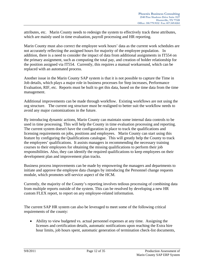attributes, etc. Marin County needs to redesign the system to effectively track these attributes, which are mainly used in time evaluation, payroll processing and HR reporting.

Marin County must also correct the employee work hours' data as the current work schedules are not accurately reflecting the assigned hours for majority of the employee population. In addition, there is a need to consider the impact of data from additional assignments in IT554 on the primary assignment, such as computing the total pay, and creation of holder relationship for the position assigned via IT554. Currently, this requires a manual workaround, which can be replaced with an automated process.

Another issue in the Marin County SAP system is that it is not possible to capture the Time in Job details, which plays a major role in business processes for Step increases, Performance Evaluation, RIF, etc. Reports must be built to get this data, based on the time data from the time management.

Additional improvements can be made through workflow. Existing workflows are not using the org structure. The current org structure must be realigned to better suit the workflow needs to avoid any major customizations in the future.

By introducing dynamic actions, Marin County can maintain some internal data controls to be used in time processing. This will help the County in time evaluation processing and reporting. The current system doesn't have the configuration in place to track the qualifications and licensing requirements on jobs, positions and employees. Marin County can start using this feature by configuring the Qualifications catalogue. This will greatly help the County to track the employees' qualifications. It assists managers in recommending the necessary training courses to their employees for obtaining the missing qualifications to perform their job responsibilities. Also, they can identify the required qualifications to keep employees on their development plan and improvement plan tracks.

Business process improvements can be made by empowering the managers and departments to initiate and approve the employee data changes by introducing the Personnel change requests module, which promotes self-service aspect of the HCM.

Currently, the majority of the County's reporting involves tedious processing of combining data from multiple reports outside of the system. This can be resolved by developing a new HR custom FLEX report, to report on any employee-related information.

The current SAP HR system can also be leveraged to meet some of the following critical requirements of the county:

 Ability to view budgeted vs. actual personnel expenses at any time. Assigning the licenses and certification details, automatic notifications upon reaching the Extra hire hour limits, job hours spent, automatic generation of termination check-list documents,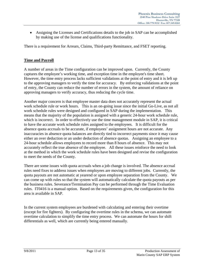Assigning the Licenses and Certifications details to the job in SAP can be accomplished by making use of the license and qualifications functionality.

There is a requirement for Arrears, Claims, Third-party Remittance, and FSET reporting.

## **Time and Payroll**

A number of areas in the Time configuration can be improved upon. Currently, the County captures the employee's working time, and exception time in the employee's time sheet. However, the time entry process lacks sufficient validations at the point of entry and it is left up to the approving managers to verify the time for accuracy. By enforcing validations at the point of entry, the County can reduce the number of errors in the system, the amount of reliance on approving managers to verify accuracy, thus reducing the cycle time.

Another major concern is that employee master data does not accurately represent the actual work schedule rule or work hours. This is an on-going issue since the initial Go-Live, as not all work schedule rules were designed and configured in SAP during the implementation. This means that the majority of the population is assigned with a generic 24-hour work schedule rule, which is incorrect. In order to effectively use the time management module in SAP, it is critical to have the accurate work schedule rules assigned to the employees. It is difficult for the absence quota accruals to be accurate, if employees' assignment hours are not accurate. Any inaccuracies in absence quota balances are directly tied to incorrect payments since it may cause either an over deduction or an under deduction of absence quotas. Assigning an employee to a 24-hour schedule allows employees to record more than 8 hours of absence. This may not accurately reflect the true absence of the employee. All these issues reinforce the need to look at the method in which the work schedule rules have been designed and revise the configuration to meet the needs of the County.

There are some issues with quota accruals when a job change is involved. The absence accrual rules need fixes to address issues when employees are moving to different jobs. Currently, the quota payouts are not automatic at yearend or upon employee separation from the County. We can come up with rules so that the system will automatically calculate the quota payouts as per the business rules. Severance/Termination Pay can be performed through the Time Evaluation rules. IT0416 is a manual option. Based on the requirements given, the configuration for this area is available in SAP.

In the current system employees are burdened with calculating and entering their overtime (except for fire fighters). By configuring the overtime rules in the schema, we can automate overtime calculation to simplify the time entry process. We can automate the hours for shift differentials as well, which are currently being entered manually.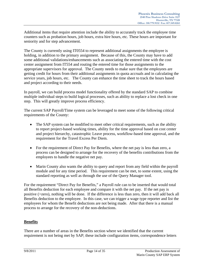Additional items that require attention include the ability to accurately track the employee time counters such as probation hours, job hours, extra hire hours, etc. These hours are important for seniority and for step advancement.

The County is currently using IT0554 to represent additional assignments the employee is holding, in addition to the primary assignment. Because of this, the County may have to add some additional validations/enhancements such as associating the entered time with the cost center assignment from IT554 and routing the entered time for those assignments to the appropriate supervisors for approval. The County needs to make sure that the employees are getting credit for hours from their additional assignments in quota accruals and in calculating the service years, job hours, etc. The County can enhance the time sheet to track the hours based and project according to their needs.

In payroll, we can build process model functionality offered by the standard SAP to combine multiple individual steps to build logical processes, such as ability to replace a lost check in one step. This will greatly improve process efficiency.

The current SAP Payroll/Time system can be leveraged to meet some of the following critical requirements of the County:

- The SAP system can be modified to meet other critical requirements, such as the ability to report project-based working times, ability for the time approval based on cost center and project hierarchy, catastrophic Leave process, workflow-based time approval, and the requirement for the Travel Excess Per Diem.
- For the requirement of Direct Pay for Benefits, where the net pay is less than zero, a process can be designed to arrange for the recovery of the benefits contributions from the employees to handle the negative net pay.
- Marin County also wants the ability to query and report from any field within the payroll module and for any time period. This requirement can be met, to some extent, using the standard reporting as well as through the use of the Query Manager tool.

For the requirement "Direct Pay for Benefits," a Payroll rule can to be inserted that would total all Benefits deduction for each employee and compare it with the net pay. If the net pay is positive (>zero), nothing will be done. If the difference is less than zero, then it will add back all Benefits deduction to the employee. In this case, we can trigger a wage type reporter and list the employees for whom the Benefit deductions are not being made. After that there is a manual process to arrange for the recovery of the non-deductions.

## **Benefits**

There are a number of areas in the Benefits section where we identified that the current requirement is not being met by SAP; these include configuration items, correspondence letters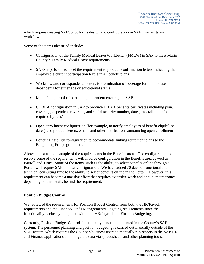which require creating SAPScript forms design and configuration in SAP, user exits and workflow.

Some of the items identified include:

- Configuration of the Family Medical Leave Workbench (FMLW) in SAP to meet Marin County's Family Medical Leave requirements
- SAPScript forms to meet the requirement to produce confirmation letters indicating the employee's current participation levels in all benefit plans
- Workflow and correspondence letters for termination of coverage for non-spouse dependents for either age or educational status
- Maintaining proof of continuing dependent coverage in SAP
- COBRA configuration in SAP to produce HIPAA benefits certificates including plan, coverage, dependent coverage, and social security number, dates, etc. (all the info required by feds)
- Open enrollment configuration (for example, to notify employees of benefit eligibility dates) and produce letters, emails and other notifications announcing open enrollment
- Benefit Eligibility configuration to accommodate linking retirement plans to the Bargaining Fringe group, etc.

Above is just a small sample of the requirements in the Benefits area. The configuration to resolve some of the requirements will involve configuration in the Benefits area as well as Payroll and Time. Some of the items, such as the ability to select benefits online through a Portal, will require SAP's Portal configuration. We have added 70 days of functional and technical consulting time to the ability to select benefits online in the Portal. However, this requirement can become a massive effort that requires extensive work and annual maintenance depending on the details behind the requirement.

## **Position Budget Control**

We reviewed the requirements for Position Budget Control from both the HR/Payroll requirements and the Finance/Funds Management/Budgeting requirements since the functionality is closely integrated with both HR/Payroll and Finance/Budgeting.

Currently, Position Budget Control functionality is not implemented in the County's SAP system. The personnel planning and position budgeting is carried out manually outside of the SAP system, which requires the County's business users to manually run reports in the SAP HR and Finance applications and merge the data via spreadsheets and other planning tools.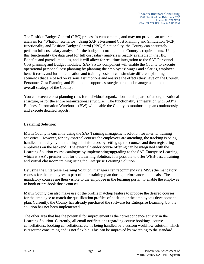The Position Budget Control (PBC) process is cumbersome, and may not provide an accurate analysis for "What-if" scenarios. Using SAP's Personnel Cost Planning and Simulation (PCP) functionality and Position Budget Control (PBC) functionality, the County can accurately perform full cost salary analysis for the budget according to the County's requirements. Using this functionality the data used for full cost salary analysis is readily available in the HR, Benefits and payroll modules, and it will allow for real time integration to the SAP Personnel Cost planning and Budget modules. SAP's PCP component will enable the County to execute operational personnel cost planning by planning the employees' wages and salaries, employee benefit costs, and further education and training costs. It can simulate different planning scenarios that are based on various assumptions and analyze the effects they have on the County. Personnel Cost Planning and Simulation supports strategic personnel management and the overall strategy of the County.

You can execute cost planning runs for individual organizational units, parts of an organizational structure, or for the entire organizational structure. The functionality's integration with SAP's Business Information Warehouse (BW) will enable the County to monitor the plan continuously and execute detailed reports.

## **Learning Solution:**

Marin County is currently using the SAP Training management solution for internal training activities. However, for any external courses the employees are attending, the tracking is being handled manually by the training administrators by setting up the courses and then registering employees on the backend. The external vendor course offering can be integrated with the Learning Solution course catalogue by implementing/upgrading to the SAP Enterprise Learning, which is SAP's premier tool for the Learning Solution. It is possible to offer WEB-based training and virtual classroom training using the Enterprise Learning Solution.

By using the Enterprise Learning Solution, managers can recommend (via MSS) the mandatory courses for the employees as part of their training plan during performance appraisals. These mandatory courses are then visible to the employee in the learning portal, to enable the employee to book or pre-book those courses.

Marin County can also make use of the profile matchup feature to propose the desired courses for the employee to match the qualification profiles of position or the employee's development plan. Currently, the County has already purchased the software for Enterprise Learning, but the solution has not been implemented.

The other area that has the potential for improvement is the correspondence activity in the Learning Solution. Currently, all email notifications regarding course bookings, course cancellations, booking cancellations, etc. is being handled by a custom workflow solution, which is resource consuming and is not flexible. This can be improved by switching to the standard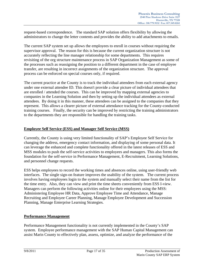request-based correspondence. The standard SAP solution offers flexibility by allowing the administrators to change the letter contents and provides the ability to add attachments to emails.

The current SAP system set up allows the employees to enroll in courses without requiring the supervisor approval. The reason for this is because the current organization structure is not accurately reflecting the line manager relationship for some departments. This requires revisiting of the org structure maintenance process in SAP Organization Management as some of the processes such as reassigning the position to a different department in the case of employee transfer, are resulting in incorrect assignments of the organization structure. The approval process can be enforced on special courses only, if required.

The current practice at the County is to track the individual attendees from each external agency under one external attendee ID. This doesn't provide a clear picture of individual attendees that are enrolled / attended the courses. This can be improved by mapping external agencies to companies in the Learning Solution and then by setting up the individual attendees as external attendees. By doing it in this manner, these attendees can be assigned to the companies that they represent. This allows a clearer picture of external attendance tracking for the County-conducted training courses. Finally, the security can be improved by restricting the training administrators to the departments they are responsible for handling the training tasks.

## **Employee Self Service (ESS) and Manager Self Service (MSS)**

Currently, the County is using very limited functionality of SAP's Employee Self Service for changing the address, emergency contact information, and displaying of some personal data. It can leverage the enhanced and complete functionality offered in the latest releases of ESS and MSS modules to push the self-service activities to employees and managers. This also forms the foundation for the self-service in Performance Management, E-Recruitment, Learning Solutions, and personnel change requests.

ESS helps employees to record the working times and absences online, using user-friendly web interfaces. The single sign-on feature improves the usability of the system. The current process involves having employees login to the system and manually select their name from the list for the time entry. Also, they can view and print the time sheets conveniently from ESS I-view. Managers can perform the following activities online for their employees using the MSS: Administering Employee HR Data, Approve Employee Time and Attendance, Manage Recruiting and Employee Career Planning, Manage Employee Development and Succession Planning, Manage Enterprise Learning Strategies.

## **Performance Management**

Performance Management functionality is not currently implemented in the County's SAP system. Employee performance management with the SAP Human Capital Management can assist Marin County to effectively plan, assess, optimize, and analyze the performance of the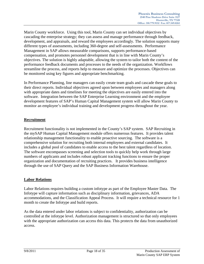Marin County workforce. Using this tool, Marin County can set individual objectives by cascading the enterprise strategy; they can assess and manage performance through feedback, development, and appraisals, and reward the employees accordingly. The solution supports many different types of assessments, including 360-degree and self-assessments. Performance Management in SAP allows measurable comparisons, supports performance-based compensation, and promotes personnel development that is in line with Marin County's objectives. The solution is highly adaptable, allowing the system to tailor both the content of the performance feedback documents and processes to the needs of the organization. Workflows streamline the process, and reports help to measure and optimize the processes. Objectives can be monitored using key figures and appropriate benchmarking.

In Performance Planning, line managers can easily create team goals and cascade these goals to their direct reports. Individual objectives agreed upon between employees and managers along with appropriate dates and timelines for meeting the objectives are easily entered into the software. Integration between the SAP Enterprise Learning environment and the employee development features of SAP's Human Capital Management system will allow Marin County to monitor an employee's individual training and development progress throughout the year.

## **Recruitment**

Recruitment functionality is not implemented in the County's SAP system. SAP Recruiting in the mySAP Human Capital Management module offers numerous features. It provides talent relationship management functionality to enable proactive sourcing. The software is a comprehensive solution for recruiting both internal employees and external candidates. It includes a global pool of candidates to enable access to the best talent regardless of location. The software encompasses screening and selection tools to quickly help work through large numbers of applicants and includes robust applicant tracking functions to ensure the proper organization and documentation of recruiting practices. It provides business intelligence through the use of SAP Query and the SAP Business Information Warehouse.

## **Labor Relations**

Labor Relations requires building a custom infotype as part of the Employee Master Data. The Infotype will capture information such as disciplinary information, grievances, ADA accommodations, and the Classification Appeal Process. It will require a technical resource for 1 month to create the Infotype and build reports.

As the data entered under labor relations is subject to confidentiality, authorization can be controlled at the infotype level. Authorization management is structured so that only employees with the appropriate authorization can access this data. This protects the data from unauthorized access.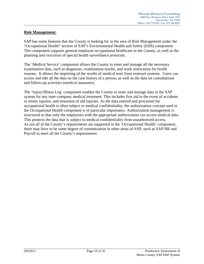## **Risk Management:**

SAP has some features that the County is looking for in the area of Risk Management under the "Occupational Health" section of SAP's Environmental Health and Safety (EHS) component. This component supports general employee occupational healthcare in the County, as well as the planning and execution of special health surveillance protocols.

The 'Medical Service' component allows the County to enter and manage all the necessary examination data, such as diagnoses, examination results, and work restrictions for health reasons. It allows the importing of the results of medical tests from external systems. Users can access and edit all the data on the case history of a person, as well as the data on consultations and follow-up activities (medical measures).

The 'Injury/Illness Log' component enables the County to enter and manage data in the SAP system for any inter-company medical treatment. This includes first aid in the event of accidents or minor injuries, and treatment of old injuries. As the data entered and processed for occupational health is often subject to medical confidentiality, the authorization concept used in the Occupational Health component is of particular importance. Authorization management is structured so that only the employees with the appropriate authorization can access medical data. This protects the data that is subject to medical confidentiality from unauthorized access. As not all of the County's requirements are supported in the 'Occupational Health' component, there may have to be some degree of customization in other areas of SAP, such as SAP HR and Payroll to meet all the County's requirements.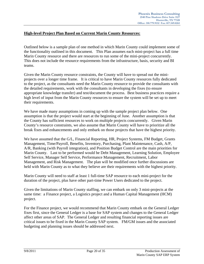## **High-level Project Plan Based on Current Marin County Resources:**

Outlined below is a sample plan of one method in which Marin County could implement some of the functionality outlined in this document. This Plan assumes each mini-project has a full time Marin County resource and there are resources to run some of the mini-project concurrently. This does not include the resource requirements from the infrastructure, basis, security and BI teams.

Given the Marin County resource constraints, the County will have to spread out the miniprojects over a longer time frame. It is critical to have Marin County resources fully dedicated to the project, as the consultants need the Marin County resource to provide the consultants with the detailed requirements, work with the consultants in developing the fixes (to ensure appropriate knowledge transfer) and test/document the process. Best business practices require a high level of input from the Marin County resources to ensure the system will be set up to meet their requirements.

We have made many assumptions in coming up with the sample project plan below. One assumption is that the project would start at the beginning of June. Another assumption is that the County has sufficient resources to work on multiple projects concurrently. Given Marin County's resource constraints, we also assume that Marin County will have to prioritize all the break fixes and enhancements and only embark on those projects that have the highest priority.

We have assumed that the G/L, Financial Reporting, HR, Project Systems, FM Budget, Grants Management, Time/Payroll, Benefits, Inventory, Purchasing, Plant Maintenance, Cash, A/P, A/R, Banking (with Payroll integration), and Position Budget Control are the main priorities for Marin County. Last to be performed would be Debt Management, Learning Solution, Employee Self Service, Manager Self Service, Performance Management, Recruitment, Labor Management, and Risk Management. The plan will be modified once further discussions are held with Marin County as to what they believe are their requirements with the highest priority.

Marin County will need to staff at least 1 full-time SAP resource to each mini-project for the duration of the project, plus have other part-time Power Users dedicated to the project.

Given the limitations of Marin County staffing, we can embark on only 3 mini-projects at the same time: a Finance project, a Logistics project and a Human Capital Management (HCM) project.

For the Finance project, we would recommend that Marin County embark on the General Ledger fixes first, since the General Ledger is a base for SAP system and changes to the General Ledger affect other areas of SAP. The General Ledger and resulting financial reporting issues are critical issues to be fixed in the Marin County SAP system. FM/GM issues and the associated budgeting and planning issues should be addressed next.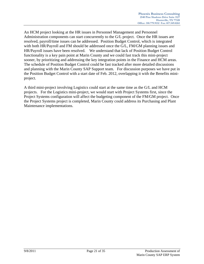An HCM project looking at the HR issues in Personnel Management and Personnel Administration components can start concurrently to the G/L project. Once the HR issues are resolved, payroll/time issues can be addressed. Position Budget Control, which is integrated with both HR/Payroll and FM should be addressed once the G/L, FM/GM planning issues and HR/Payroll issues have been resolved. We understand that lack of Position Budget Control functionality is a key pain point at Marin County and we could fast track this mini-project sooner, by prioritizing and addressing the key integration points in the Finance and HCM areas. The schedule of Position Budget Control could be fast tracked after more detailed discussions and planning with the Marin County SAP Support team. For discussion purposes we have put in the Position Budget Control with a start date of Feb. 2012, overlapping it with the Benefits miniproject.

A third mini-project involving Logistics could start at the same time as the G/L and HCM projects. For the Logistics mini-project, we would start with Project Systems first, since the Project Systems configuration will affect the budgeting component of the FM/GM project. Once the Project Systems project is completed, Marin County could address its Purchasing and Plant Maintenance implementations.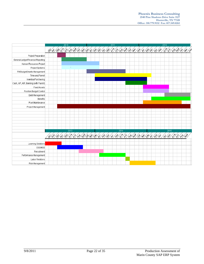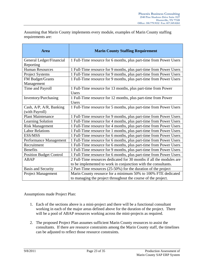Assuming that Marin County implements every module, examples of Marin County staffing requirements are:

| <b>Area</b>                               | <b>Marin County Staffing Requirement</b>                                      |
|-------------------------------------------|-------------------------------------------------------------------------------|
| General Ledger/Financial<br>Reporting     | 1 Full-Time resource for 6 months, plus part-time from Power Users            |
| <b>Human Resources</b>                    | 1 Full-Time resource for 9 months, plus part-time from Power Users            |
| Project Systems                           | 1 Full-Time resource for 9 months, plus part-time from Power Users            |
| FM Budget/Grants<br>Management            | 1 Full-Time resource for 9 months, plus part-time from Power Users            |
| Time and Payroll                          | 1 Full-Time resource for 13 months, plus part-time from Power<br><b>Users</b> |
| Inventory/Purchasing                      | 1 Full-Time resource for 12 months, plus part-time from Power<br><b>Users</b> |
| Cash, A/P, A/R, Banking<br>(with Payroll) | 1 Full-Time resource for 5 months, plus part-time from Power Users            |
| <b>Plant Maintenance</b>                  | 1 Full-Time resource for 9 months, plus part-time from Power Users            |
| Learning Solution                         | 1 Full-Time resource for 4 months, plus part-time from Power Users            |
| <b>Risk Management</b>                    | 1 Full-Time resource for 4 months, plus part-time from Power Users            |
| <b>Labor Relations</b>                    | 1 Full-Time resource for 1 months, plus part-time from Power Users            |
| ESS/MSS                                   | 1 Full-Time resource for 6 months, plus part-time from Power Users            |
| Performance Management                    | 1 Full-Time resource for 6 months, plus part-time from Power Users            |
| Recruitment                               | 1 Full-Time resource for 6 months, plus part-time from Power Users            |
| <b>Benefits</b>                           | 1 Full-Time resource for 9 months, plus part-time from Power Users            |
| <b>Position Budget Control</b>            | 1 Full-Time resource for 6 months, plus part-time from Power Users            |
| <b>ABAP</b>                               | 2 Full-Time resources dedicated for 30 months if all the modules are          |
|                                           | to be implemented to work in conjunction with the consultants.                |
| <b>Basis and Security</b>                 | 2 Part-Time resources (25-50%) for the duration of the project                |
| <b>Project Management</b>                 | Marin County resource for a minimum 50% to 100% FTE dedicated                 |
|                                           | to managing the project throughout the course of the project.                 |

Assumptions made Project Plan:

- 1. Each of the sections above is a mini-project and there will be a functional consultant working in each of the major areas defined above for the duration of the project. There will be a pool of ABAP resources working across the mini-projects as required.
- 2. The proposed Project Plan assumes sufficient Marin County resources to assist the consultants. If there are resource constraints among the Marin County staff, the timelines can be adjusted to reflect those resource constraints.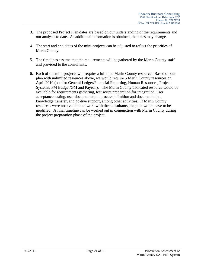- 3. The proposed Project Plan dates are based on our understanding of the requirements and our analysis to date. As additional information is obtained, the dates may change.
- 4. The start and end dates of the mini-projects can be adjusted to reflect the priorities of Marin County.
- 5. The timelines assume that the requirements will be gathered by the Marin County staff and provided to the consultants.
- 6. Each of the mini-projects will require a full time Marin County resource. Based on our plan with unlimited resources above, we would require 5 Marin County resources on April 2010 (one for General Ledger/Financial Reporting, Human Resources, Project Systems, FM Budget/GM and Payroll). The Marin County dedicated resource would be available for requirements gathering, test script preparation for integration, user acceptance testing, user documentation, process definition and documentation, knowledge transfer, and go-live support, among other activities. If Marin County resources were not available to work with the consultants, the plan would have to be modified. A final timeline can be worked out in conjunction with Marin County during the project preparation phase of the project.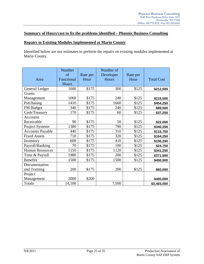## **Summary of Hours/cost to fix the problems identified – Phoenix Business Consulting**

#### **Repairs to Existing Modules Implemented at Marin County**

Identified below are our estimates to perform the repairs on existing modules implemented at Marin County.

| Area                    | Number<br><sub>of</sub><br>Functional<br>Hours | Rate per<br>Hour | Number of<br>Developer<br>Hours | Rate per<br>Hour | <b>Total Cost</b> |
|-------------------------|------------------------------------------------|------------------|---------------------------------|------------------|-------------------|
| General Ledger          | 1000                                           | \$175            | 300                             | \$125            | \$212,500         |
| Grants                  |                                                |                  |                                 |                  |                   |
| Management              | 1060                                           | \$175            | 240                             | \$125            | \$215,500         |
| Purchasing              | 1410                                           | \$175            | 1660                            | \$125            | \$454,250         |
| FM Budget               | 340                                            | \$175            | 240                             | \$125            | \$89,500          |
| Cash/Treasury           | 170                                            | \$175            | 60                              | \$125            | \$37,250          |
| Accounts                |                                                |                  |                                 |                  |                   |
| Receivable              | 90                                             | \$175            | 50                              | \$125            | \$22,000          |
| <b>Project Systems</b>  | 1380                                           | \$175            | 790                             | \$125            | \$340,250         |
| <b>Accounts Payable</b> | 440                                            | \$175            | 310                             | \$125            | \$115,750         |
| <b>Fixed Assets</b>     | 710                                            | \$175            | 320                             | \$125            | \$164,250         |
| Inventory               | 600                                            | \$175            | 410                             | \$125            | \$156,250         |
| Payroll/Banking         | 70                                             | \$175            | 100                             | \$125            | \$24,750          |
| <b>Human Resources</b>  | 1150                                           | \$175            | 1120                            | \$125            | \$341,250         |
| Time & Payroll          | 1980                                           | \$175            | 200                             | \$125            | \$371,500         |
| <b>Benefits</b>         | 1500                                           | \$175            | 1500                            | \$125            | \$450,000         |
| Documentation           |                                                |                  |                                 |                  |                   |
| and Training            | 200                                            | \$175            | 200                             | \$125            | \$60,000          |
| Project                 |                                                |                  |                                 |                  |                   |
| Management              | 2000                                           | \$200            |                                 |                  | \$400,000         |
| Totals                  | 14,100                                         |                  | 7,500                           |                  | \$3,483,000       |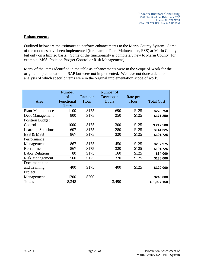## **Enhancements**

Outlined below are the estimates to perform enhancements to the Marin County System. Some of the modules have been implemented (for example Plant Maintenance, ESS) at Marin County but only on a limited basis. Some of the functionality is completely new to Marin County (for example, MSS, Position Budget Control or Risk Management).

Many of the items identified in the table as enhancements were in the Scope of Work for the original implementation of SAP but were not implemented. We have not done a detailed analysis of which specific items were in the original implementation scope of work.

| Area                      | Number<br>of<br>Functional<br><b>Hours</b> | Rate per<br>Hour | Number of<br>Developer<br>Hours | Rate per<br>Hour | <b>Total Cost</b> |
|---------------------------|--------------------------------------------|------------------|---------------------------------|------------------|-------------------|
| <b>Plant Maintenance</b>  | 1100                                       | \$175            | 690                             | \$125            | \$278,750         |
| Debt Management           | 800                                        | \$175            | 250                             | \$125            | \$171,250         |
| <b>Position Budget</b>    |                                            |                  |                                 |                  |                   |
| Control                   | 1000                                       | \$175            | 300                             | \$125            | \$212,500         |
| <b>Learning Solutions</b> | 607                                        | \$175            | 280                             | \$125            | \$141,225         |
| ESS & MSS                 | 867                                        | \$175            | 320                             | \$125            | \$191,725         |
| Performance               |                                            |                  |                                 |                  |                   |
| Management                | 867                                        | \$175            | 450                             | \$125            | \$207,975         |
| Recruitment               | 867                                        | \$175            | 320                             | \$125            | \$191,725         |
| <b>Labor Relations</b>    | 80                                         | \$175            | 160                             | \$125            | \$34,000          |
| <b>Risk Management</b>    | 560                                        | \$175            | 320                             | \$125            | \$138,000         |
| Documentation             |                                            |                  |                                 |                  |                   |
| and Training              | 400                                        | \$175            | 400                             | \$125            | \$120,000         |
| Project                   |                                            |                  |                                 |                  |                   |
| Management                | 1200                                       | \$200            |                                 |                  | \$240,000         |
| Totals                    | 8,348                                      |                  | 3,490                           |                  | \$1,927,150       |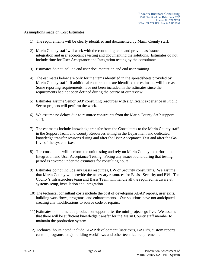Assumptions made on Cost Estimates:

- 1) The requirements will be clearly identified and documented by Marin County staff.
- 2) Marin County staff will work with the consulting team and provide assistance in integration and user acceptance testing and documenting the solutions. Estimates do not include time for User Acceptance and Integration testing by the consultants.
- 3) Estimates do not include end user documentation and end user training.
- 4) The estimates below are only for the items identified in the spreadsheets provided by Marin County staff. If additional requirements are identified the estimates will increase. Some reporting requirements have not been included in the estimates since the requirements had not been defined during the course of our review.
- 5) Estimates assume Senior SAP consulting resources with significant experience in Public Sector projects will perform the work.
- 6) We assume no delays due to resource constraints from the Marin County SAP support staff.
- 7) The estimates include knowledge transfer from the Consultants to the Marin County staff in the Support Team and County Resources sitting in the Department and dedicated knowledge transfer sessions during and after the User Acceptance Test and after the Go-Live of the system fixes.
- 8) The consultants will perform the unit testing and rely on Marin County to perform the Integration and User Acceptance Testing. Fixing any issues found during that testing period is covered under the estimates for consulting hours.
- 9) Estimates do not include any Basis resources, BW or Security consultants. We assume that Marin County will provide the necessary resources for Basis, Security and BW. The County's infrastructure team and Basis Team will handle all the required hardware & systems setup, installation and integration.
- 10) The technical consultant costs include the cost of developing ABAP reports, user exits, building workflows, programs, and enhancements. Our solutions have not anticipated creating any modifications to source code or repairs.
- 11) Estimates do not include production support after the mini-projects go live. We assume that there will be sufficient knowledge transfer for the Marin County staff member to maintain the production system.
- 12) Technical hours noted include ABAP development (user exits, BADI's, custom reports, custom programs, etc.), building workflows and other technical requirements.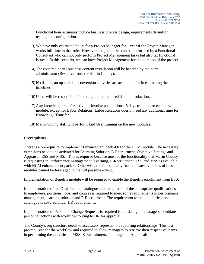Functional hour estimates include business process design, requirements definition, testing and configuration.

- 13) We have only estimated hours for a Project Manager for 1 year if the Project Manager works full-time in that role. However, the job duties can be performed by a Functional Consultant who can not only perform Project Management tasks but also fix functional issues. In this scenario, we can have Project Management for the duration of the project.
- 14) The required portal business content installation will be handled by the portal administrator (Resource from the Marin County).
- 15) No data clean up and data conversion activities are accounted for in estimating the timelines.
- 16) Users will be responsible for setting up the required data in production.
- 17) Any knowledge transfer activities involve an additional 5 days training for each new module, except for Labor Relations. Labor Relations doesn't need any additional time for Knowledge Transfer.
- 18) Marin County staff will perform End User training on the new modules.

## **Prerequisites**

There is a prerequisite to implement Enhancement pack 4.0 for the HCM module. The necessary extensions need to be activated for Learning Solution, E-Recruitment, Objective Settings and Appraisal, ESS and MSS. This is required because most of the functionality that Marin County is requesting in Performance Management, Learning, E-Recruitment, ESS and MSS is available with HCM enhancement pack 4. Otherwise, the functionality from the latest versions of these modules cannot be leveraged to the full possible extent.

Implementation of Benefits module will be required to enable the Benefits enrollment from ESS.

Implementation of the Qualification catalogue and assignment of the appropriate qualifications to employees, positions, jobs, and courses is required to meet some requirements in performance management, learning solution and E-Recruitment. The requirement to build qualifications catalogue is covered under HR requirements.

Implementation of Personnel Change Requests is required for enabling the managers to initiate personnel actions with workflow routing to HR for approval.

The County's org structure needs to accurately represent the reporting relationships. This is a pre-requisite for the workflow and required to allow managers to retrieve their respective teams in performing the activities in MSS, E-Recruitment, Training, and Appraisals.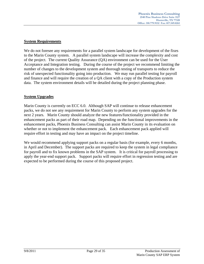## **System Requirements**

We do not foresee any requirements for a parallel system landscape for development of the fixes to the Marin County system. A parallel system landscape will increase the complexity and cost of the project. The current Quality Assurance (QA) environment can be used for the User Acceptance and Integration testing. During the course of the project we recommend limiting the number of changes to the development system and thorough testing of transports to reduce the risk of unexpected functionality going into production. We may run parallel testing for payroll and finance and will require the creation of a QA client with a copy of the Production system data. The system environment details will be detailed during the project planning phase.

## **System Upgrades**

Marin County is currently on ECC 6.0. Although SAP will continue to release enhancement packs, we do not see any requirement for Marin County to perform any system upgrades for the next 2 years. Marin County should analyze the new features/functionality provided in the enhancement packs as part of their road map. Depending on the functional improvements in the enhancement packs, Phoenix Business Consulting can assist Marin County in its evaluation on whether or not to implement the enhancement pack. Each enhancement pack applied will require effort in testing and may have an impact on the project timeline.

We would recommend applying support packs on a regular basis (for example, every 6 months, in April and December). The support packs are required to keep the system in legal compliance for payroll and to fix known problems in the SAP system. It is critical for payroll processing to apply the year-end support pack. Support packs will require effort in regression testing and are expected to be performed during the course of this proposed project.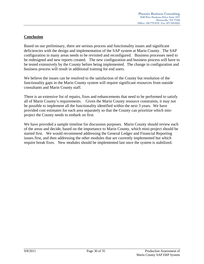## **Conclusion**

Based on our preliminary, there are serious process and functionality issues and significant deficiencies with the design and implementation of the SAP system at Marin County. The SAP configuration in many areas needs to be revisited and reconfigured. Business processes need to be redesigned and new reports created. The new configuration and business process will have to be tested extensively by the County before being implemented. The change in configuration and business process will result in additional training for end users.

We believe the issues can be resolved to the satisfaction of the County but resolution of the functionality gaps in the Marin County system will require significant resources from outside consultants and Marin County staff.

There is an extensive list of repairs, fixes and enhancements that need to be performed to satisfy all of Marin County's requirements. Given the Marin County resource constraints, it may not be possible to implement all the functionality identified within the next 3 years. We have provided cost estimates for each area separately so that the County can prioritize which minproject the County needs to embark on first.

We have provided a sample timeline for discussion purposes. Marin County should review each of the areas and decide, based on the importance to Marin County, which mini-project should be started first. We would recommend addressing the General Ledger and Financial Reporting issues first, and then addressing the other modules that are currently implemented but which require break fixes. New modules should be implemented last once the system is stabilized.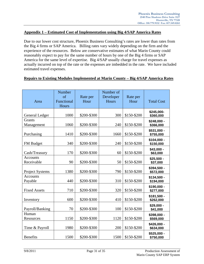#### **Appendix 1 – Estimated Cost of Implementation using Big 4/SAP America Rates**

Due to our lower cost structure, Phoenix Business Consulting's rates are lower than rates from the Big 4 firms or SAP America. Billing rates vary widely depending on the firm and the experience of the resources. Below are conservative estimates of what Marin County could reasonably expect to pay for the same number of hours by one of the Big 4 firms or SAP America for the same level of expertise. Big 4/SAP usually charge for travel expenses as actually incurred on top of the rate or the expenses are imbedded in the rate. We have included estimated travel expenses.

| Repairs to Existing Modules Implemented at Marin County – Big 4/SAP America Rates |  |
|-----------------------------------------------------------------------------------|--|
|                                                                                   |  |

| Area                          | Number<br>of<br>Functional<br>Hours | Rate per<br>Hour | Number of<br>Developer<br>Hours | Rate per<br>Hour | <b>Total Cost</b>         |
|-------------------------------|-------------------------------------|------------------|---------------------------------|------------------|---------------------------|
| General Ledger                | 1000                                | \$200-\$300      | 300                             | \$150-\$200      | \$245,000-<br>\$360,000   |
| <b>Grants</b><br>Management   | 1060                                | \$200-\$300      | 240                             | \$150-\$200      | \$248,000 -<br>\$366,000  |
| Purchasing                    | 1410                                | \$200-\$300      | 1660                            | \$150-\$200      | \$531,000 -<br>\$755,000  |
| FM Budget                     | 340                                 | \$200-\$300      | 240                             | \$150-\$200      | $$104,000 -$<br>\$150,000 |
| Cash/Treasury                 | 170                                 | \$200-\$300      | 60                              | \$150-\$200      | \$43,000 -<br>\$63,000    |
| <b>Accounts</b><br>Receivable | 90                                  | \$200-\$300      | 50                              | \$150-\$200      | $$25,500 -$<br>\$37,000   |
| <b>Project Systems</b>        | 1380                                | \$200-\$300      | 790                             | \$150-\$200      | \$394,500 -<br>\$572,000  |
| <b>Accounts</b><br>Payable    | 440                                 | \$200-\$300      | 310                             | \$150-\$200      | \$134,500 -<br>\$194,000  |
| <b>Fixed Assets</b>           | 710                                 | \$200-\$300      | 320                             | \$150-\$200      | \$190,000 -<br>\$277,000  |
| Inventory                     | 600                                 | \$200-\$300      | 410                             | \$150-\$200      | $$181,500 -$<br>\$262,000 |
| Payroll/Banking               | 70                                  | \$200-\$300      | 100                             | \$150-\$200      | $$29,000 -$<br>\$41,000   |
| Human<br>Resources            | 1150                                | \$200-\$300      | 1120                            | \$150-\$200      | \$398,000 -<br>\$569,000  |
| Time & Payroll                | 1980                                | \$200-\$300      | 200                             | \$150-\$200      | \$426,000 -<br>\$634,000  |
| <b>Benefits</b>               | 1500                                | \$200-\$300      | 1500                            | \$150-\$200      | \$525,000 -<br>\$750,000  |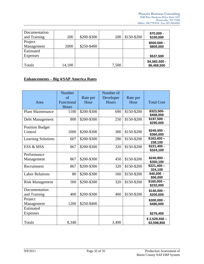| Documentation<br>and Training | <b>200</b> | \$200-\$300 | 200   | \$150-\$200 | \$70,000 -<br>\$100,000      |
|-------------------------------|------------|-------------|-------|-------------|------------------------------|
| Project                       |            |             |       |             | $$500,000 -$                 |
| Management                    | 2000       | \$250-\$400 |       |             | \$800,000                    |
| Estimated                     |            |             |       |             |                              |
| Expenses                      |            |             |       |             | \$537,500                    |
| Totals                        | 14,100     |             | 7,500 |             | \$4,582,500 -<br>\$6,468,500 |

## **Enhancements – Big 4/SAP America Rates**

| Area                              | Number<br>$\sigma$ f<br>Functional<br>Hours | Rate per<br>Hour | Number of<br>Developer<br>Hours | Rate per<br>Hour | <b>Total Cost</b>            |
|-----------------------------------|---------------------------------------------|------------------|---------------------------------|------------------|------------------------------|
| <b>Plant Maintenance</b>          | 1100                                        | \$200-\$300      | 690                             | \$150-\$200      | \$323,500-<br>\$468,000      |
| Debt Management                   | 800                                         | \$200-\$300      | 250                             | \$150-\$200      | \$197,500 -<br>\$290,000     |
| <b>Position Budget</b><br>Control | 1000                                        | \$200-\$300      | 300                             | \$150-\$200      | $$245,000 -$<br>\$360,000    |
| <b>Learning Solutions</b>         | 607                                         | \$200-\$300      | 280                             | \$150-\$200      | $$163,400-$<br>238,100       |
| ESS & MSS                         | 867                                         | \$200-\$300      | 320                             | \$150-\$200      | $$221,400 -$<br>\$324,100    |
| Performance<br>Management         | 867                                         | \$200-\$300      | 450                             | \$150-\$200      | \$240,900 -<br>\$350,100     |
| Recruitment                       | 867                                         | \$200-\$300      | 320                             | \$150-\$200      | $$221,400-$<br>324,100       |
| <b>Labor Relations</b>            | 80                                          | \$200-\$300      | 160                             | \$150-\$200      | $$40,000 -$<br>\$56,000      |
| <b>Risk Management</b>            | 560                                         | \$200-\$300      | 320                             | \$150-\$200      | $$160,000-$<br>\$232,000     |
| Documentation<br>and Training     | 400                                         | \$200-\$300      | 400                             | \$150-\$200      | $$140,000 -$<br>\$200,000    |
| Project<br>Management             | 1200                                        | \$250-\$400      |                                 |                  | \$300,000 -<br>\$480,000     |
| Estimated<br><b>Expenses</b>      |                                             |                  |                                 |                  | \$276,450                    |
| Totals                            | 8,348                                       |                  | 3,490                           |                  | $$2,529,550-$<br>\$3,598,850 |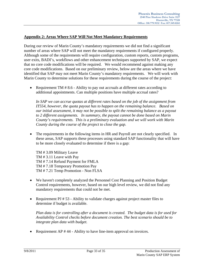## **Appendix 2: Areas Where SAP Will Not Meet Mandatory Requirements**

During our review of Marin County's mandatory requirements we did not find a significant number of areas where SAP will not meet the mandatory requirements if configured properly. Although some of the requirements will require configuration, custom reports, custom programs, user exits, BADI's, workflows and other enhancement techniques supported by SAP, we expect that no core code modifications will be required. We would recommend against making any core code modifications. Based on our preliminary review, below are the areas where we have identified that SAP may not meet Marin County's mandatory requirements. We will work with Marin County to determine solutions for these requirements during the course of the project:

• Requirement TM # 8.6 - Ability to pay out accruals at different rates according to additional appointments. Can multiple positions have multiple accrual rates?

*In SAP we can accrue quotas at different rates based on the job of the assignment from IT554, however, the quota payout has to happen on the remaining balance. Based on our initial assessment, it may not be possible to split the remaining balance as a payout to 2 different assignments. In summary, the payout cannot be done based on Marin County's requirements. This is a preliminary evaluation and we will work with Marin County during the course of the project to close the gap.* 

 The requirements in the following items in HR and Payroll are not clearly specified. In these areas, SAP supports these processes using standard SAP functionality that will have to be more closely evaluated to determine if there is a gap:

TM # 3.09 Military Leave TM # 3.11 Leave with Pay TM # 7.14 Refund Payment for FMLA TM # 7.18 Temporary Promotion Pay TM # 7.21 Temp Promotion - Non FLSA

- We haven't completely analyzed the Personnel Cost Planning and Position Budget Control requirements, however, based on our high level review, we did not find any mandatory requirements that could not be met.
- Requirement PJ # 53 Ability to validate charges against project master files to determine if budget is available.

*Plan data is for controlling after a document is created. The budget data is for used for Availability Control checks before document creation. The best scenario should be to integrate plan data with budget.* 

Requirement AP # 44 - Ability to have line-item approval on invoices.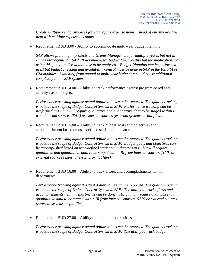*Create multiple vendor invoices for each of the expense items instead of one Invoice line item with multiple expense accounts* 

• Requirement BUD 3.00 - Ability to accommodate multi-year budget planning.

*SAP allows planning in projects and Grants Management for multiple years, but not in Funds Management. SAP allows multi-year budget functionality but the implications of using this functionality would have to be analyzed. Budget Planning can be performed in BI but budget checking and availability control must be done in SAP in the PS, FM or GM modules. Switching from annual to multi-year budgeting could cause additional complexity in the SAP system.* 

• Requirement BUD 14.00 – Ability to track performance against program-based and activity-based budgets.

*Performance tracking against actual dollar values can be reported. The quality tracking is outside the scope of Budget Control System in SAP. Performance tracking can be performed in BI but will require qualitative and quantitative data to be staged within BI from internal sources (SAP) or external sources (external systems or flat files).* 

 Requirement BUD 15.00 – Ability to track budget goals and objectives and accomplishment based on user-defined statistical indicators.

*Performance tracking against actual dollar values can be reported. The quality tracking is outside the scope of Budget Control System in SAP. Budget goals and objectives can be accomplished based on user-defined statistical indicators in BI but will require qualitative and quantitative data to be staged within BI from internal sources (SAP) or external sources (external systems or flat files).* 

 Requirement BUD 16.00 – Ability to track efforts and accomplishments within departments.

*Performance tracking against actual dollar values can be reported. The quality tracking is outside the scope of Budget Control System in SAP. The ability to track efforts and accomplishments within departments can be done in BI but will require qualitative and quantitative data to be staged within BI from internal sources (SAP) or external sources (external systems or flat files).* 

• Requirement BUD 27.00 – Ability to track budget priorities.

*Performance tracking against actual dollar values can be reported. The quality tracking*  is outside the scope of Budget Control System in SAP. The ability to track budget